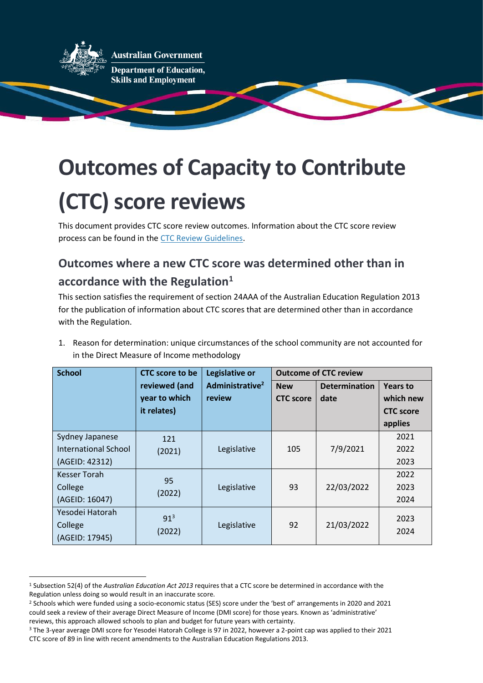

**Australian Government** 

**Department of Education, Skills and Employment** 

## **Outcomes of Capacity to Contribute (CTC) score reviews**

This document provides CTC score review outcomes. Information about the CTC score review process can be found in the [CTC Review Guidelines.](https://www.dese.gov.au/quality-schools-package/resources/guidelines-approved-authorities-capacity-contribute-ctc-review-process)

## **Outcomes where a new CTC score was determined other than in accordance with the Regulation<sup>1</sup>**

This section satisfies the requirement of section 24AAA of the Australian Education Regulation 2013 for the publication of information about CTC scores that are determined other than in accordance with the Regulation.

1. Reason for determination: unique circumstances of the school community are not accounted for in the Direct Measure of Income methodology

| <b>School</b>        | <b>CTC</b> score to be | Legislative or              | <b>Outcome of CTC review</b> |                      |                  |
|----------------------|------------------------|-----------------------------|------------------------------|----------------------|------------------|
|                      | reviewed (and          | Administrative <sup>2</sup> | <b>New</b>                   | <b>Determination</b> | <b>Years to</b>  |
|                      | year to which          | review                      | <b>CTC</b> score             | date                 | which new        |
|                      | it relates)            |                             |                              |                      | <b>CTC</b> score |
|                      |                        |                             |                              |                      | applies          |
| Sydney Japanese      | 121                    |                             |                              |                      | 2021             |
| International School | (2021)                 | Legislative                 | 105                          | 7/9/2021             | 2022             |
| (AGEID: 42312)       |                        |                             |                              |                      | 2023             |
| <b>Kesser Torah</b>  | 95                     |                             |                              |                      | 2022             |
| College              | (2022)                 | Legislative                 | 93                           | 22/03/2022           | 2023             |
| (AGEID: 16047)       |                        |                             |                              |                      | 2024             |
| Yesodei Hatorah      | 91 <sup>3</sup>        |                             |                              |                      | 2023             |
| College              |                        | Legislative                 | 92                           | 21/03/2022           | 2024             |
| (AGEID: 17945)       | (2022)                 |                             |                              |                      |                  |

<sup>1</sup> Subsection 52(4) of the *Australian Education Act 2013* requires that a CTC score be determined in accordance with the Regulation unless doing so would result in an inaccurate score.

<sup>2</sup> Schools which were funded using a socio-economic status (SES) score under the 'best of' arrangements in 2020 and 2021 could seek a review of their average Direct Measure of Income (DMI score) for those years. Known as 'administrative' reviews, this approach allowed schools to plan and budget for future years with certainty.

<sup>3</sup> The 3-year average DMI score for Yesodei Hatorah College is 97 in 2022, however a 2-point cap was applied to their 2021 CTC score of 89 in line with recent amendments to the Australian Education Regulations 2013.